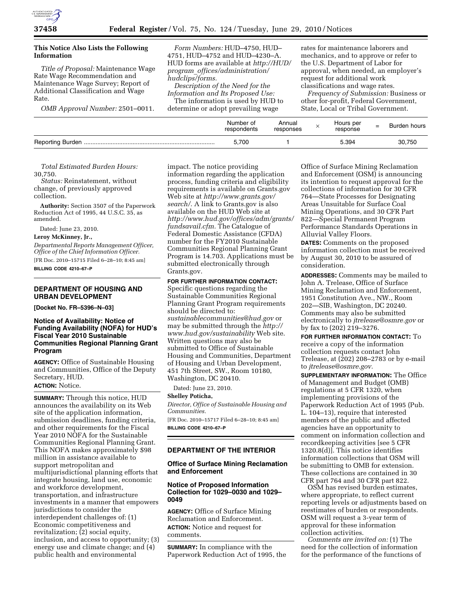

## **This Notice Also Lists the Following Information**

*Title of Proposal:* Maintenance Wage Rate Wage Recommendation and Maintenance Wage Survey; Report of Additional Classification and Wage Rate.

*OMB Approval Number:* 2501–0011.

*Form Numbers:* HUD–4750, HUD– 4751, HUD–4752 and HUD–4230–A. HUD forms are available at *http://HUD/ program*\_*offices/administration/ hudclips/forms.* 

*Description of the Need for the Information and Its Proposed Use:*  The information is used by HUD to determine or adopt prevailing wage

rates for maintenance laborers and mechanics, and to approve or refer to the U.S. Department of Labor for approval, when needed, an employer's request for additional work classifications and wage rates.

*Frequency of Submission:* Business or other for-profit, Federal Government, State, Local or Tribal Government.

| Number of<br>respondents | Annual<br>responses | Hours per<br>response | $\overline{\phantom{m}}$<br>- | Burden hours |
|--------------------------|---------------------|-----------------------|-------------------------------|--------------|
| 5,700                    |                     | 5.394                 |                               | 30,750       |

*Total Estimated Burden Hours:*  30,750.

*Status:* Reinstatement, without change, of previously approved collection.

**Authority:** Section 3507 of the Paperwork Reduction Act of 1995, 44 U.S.C. 35, as amended.

Dated: June 23, 2010.

### **Leroy McKinney, Jr.,**

*Departmental Reports Management Officer, Office of the Chief Information Officer.*  [FR Doc. 2010–15715 Filed 6–28–10; 8:45 am] **BILLING CODE 4210–67–P** 

#### **DEPARTMENT OF HOUSING AND URBAN DEVELOPMENT**

**[Docket No. FR–5396–N–03]** 

### **Notice of Availability: Notice of Funding Availability (NOFA) for HUD's Fiscal Year 2010 Sustainable Communities Regional Planning Grant Program**

**AGENCY:** Office of Sustainable Housing and Communities, Office of the Deputy Secretary, HUD. **ACTION:** Notice.

**SUMMARY:** Through this notice, HUD announces the availability on its Web site of the application information, submission deadlines, funding criteria, and other requirements for the Fiscal Year 2010 NOFA for the Sustainable Communities Regional Planning Grant. This NOFA makes approximately \$98 million in assistance available to support metropolitan and multijurisdictional planning efforts that integrate housing, land use, economic and workforce development, transportation, and infrastructure investments in a manner that empowers jurisdictions to consider the interdependent challenges of: (1) Economic competitiveness and revitalization; (2) social equity, inclusion, and access to opportunity; (3) energy use and climate change; and (4) public health and environmental

impact. The notice providing information regarding the application process, funding criteria and eligibility requirements is available on Grants.gov Web site at *http://www.grants.gov/ search/.* A link to Grants.gov is also available on the HUD Web site at *http://www.hud.gov/offices/adm/grants/ fundsavail.cfm.* The Catalogue of Federal Domestic Assistance (CFDA) number for the FY2010 Sustainable Communities Regional Planning Grant Program is 14.703. Applications must be submitted electronically through Grants.gov.

**FOR FURTHER INFORMATION CONTACT:**  Specific questions regarding the Sustainable Communities Regional Planning Grant Program requirements should be directed to: *sustainablecommunities@hud.gov* or may be submitted through the *http:// www.hud.gov/sustainability* Web site. Written questions may also be submitted to Office of Sustainable Housing and Communities, Department of Housing and Urban Development, 451 7th Street, SW., Room 10180, Washington, DC 20410.

Dated: June 23, 2010.

#### **Shelley Poticha,**

*Director, Office of Sustainable Housing and Communities.* 

[FR Doc. 2010–15717 Filed 6–28–10; 8:45 am] **BILLING CODE 4210–67–P** 

## **DEPARTMENT OF THE INTERIOR**

## **Office of Surface Mining Reclamation and Enforcement**

#### **Notice of Proposed Information Collection for 1029–0030 and 1029– 0049**

**AGENCY:** Office of Surface Mining Reclamation and Enforcement. **ACTION:** Notice and request for comments.

**SUMMARY:** In compliance with the Paperwork Reduction Act of 1995, the

Office of Surface Mining Reclamation and Enforcement (OSM) is announcing its intention to request approval for the collections of information for 30 CFR 764—State Processes for Designating Areas Unsuitable for Surface Coal Mining Operations, and 30 CFR Part 822—Special Permanent Program Performance Standards Operations in Alluvial Valley Floors.

**DATES:** Comments on the proposed information collection must be received by August 30, 2010 to be assured of consideration.

**ADDRESSES:** Comments may be mailed to John A. Trelease, Office of Surface Mining Reclamation and Enforcement, 1951 Constitution Ave., NW., Room 202—SIB, Washington, DC 20240. Comments may also be submitted electronically to *jtrelease@osmre.gov* or by fax to (202) 219–3276.

**FOR FURTHER INFORMATION CONTACT:** To receive a copy of the information collection requests contact John Trelease, at (202) 208–2783 or by e-mail to *jtrelease@osmre.gov.* 

**SUPPLEMENTARY INFORMATION:** The Office of Management and Budget (OMB) regulations at 5 CFR 1320, when implementing provisions of the Paperwork Reduction Act of 1995 (Pub. L. 104–13), require that interested members of the public and affected agencies have an opportunity to comment on information collection and recordkeeping activities [see 5 CFR 1320.8(d)]. This notice identifies information collections that OSM will be submitting to OMB for extension. These collections are contained in 30 CFR part 764 and 30 CFR part 822.

OSM has revised burden estimates, where appropriate, to reflect current reporting levels or adjustments based on reestimates of burden or respondents. OSM will request a 3-year term of approval for these information collection activities.

*Comments are invited on:* (1) The need for the collection of information for the performance of the functions of